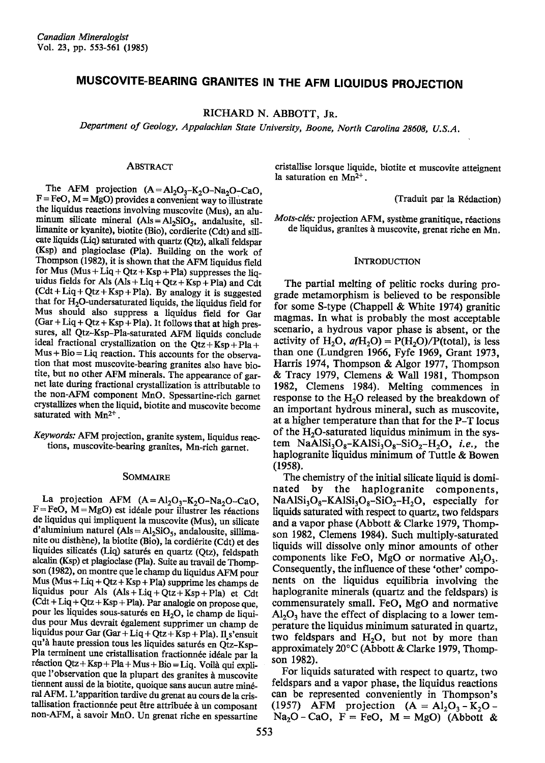# MUSCOVITE.BEARING GRANITES IN THE AFM LIOUIDUS PROJECTION

RICHARD N. ABBOTT, JR.

Department of Geology, Appalachian State University, Boone, North Carolina 28608, U.S.A.

## **ABSTRACT**

The AFM projection  $(A = A_1 \cdot 0_3 - K_2 \cdot 0 - Na_2 \cdot 0 - Ca \cdot C$ <br>F = FeO, M = MgO) provides a convenient way to illustrat The AFM projection  $(A=Al_2O_3-K_2O-Na_2O-CaO,$ the liquidus reactions involving muscovite (Mus), an aluminum silicate mineral  $(Als = Al<sub>2</sub>SiO<sub>5</sub>, and a lusite, sil$ limanite or kyanite), biotite (Bio), cordierite (Cdt) and silicate liquids (Liq) saturated with quartz (Qtz), alkali feldspar (Ksp) and plagioclase (Pla). Building on the work of Thompson (1982), it is shown that the AFM liquidus field for Mus  $(Mus + Liq + Qtz + Ksp + Pla)$  suppresses the liquidus fields for Als  $(Als + Liq + Qtz + Ksp + Pla)$  and Cdt  $(Cdt + Liq + Qtz + Ksp + Pla)$ . By analogy it is suggested that for  $H_2O$ -undersaturated liquids, the liquidus field for Mus should also suppress a liquidus field for Gar  $(Gar + Liq + Qtz + Ksp + Pla)$ . It follows that at high pressures, all Qtz-Ksp-Pla-saturated AFM liquids conclude ideal fractional crystallization on the  $Qtz+Ksp+Pla+$ Mus + Bio = Liq reaction. This accounts for the observation that most muscovite-bearing granites also have biotite, but no other AFM minerals. The appearance of garnet late during fractional crystallization is attributable ro the non-AFM component MnO. Spessartine-rich garner crystallizes when the liquid, biotite and muscovite become saturated with Mn2+.

Keywords: AFM projection, granite system, liquidus reactions, muscovite-bearing granites, Mn-rich garnet.

# SOMMAIRE

La projection AFM  $(A = A_1 \cdot 0_3 - K_2 \cdot 0 - Na_2 \cdot 0 - Ca \cdot 0$ <br>F=FeO, M=MgO) est idéale pour illustrer les réactions La projection AFM  $(A=Al_2O_3-K_2O-Na_2O-CaO)$ de liquidus qui impliquent la muscovite (Mus), un silicate d'aluminium naturel ( $\text{Als} = \text{Al}_2\text{SiO}_5$ , andalousite, sillimanite ou disthène), la biotite (Bio), la cordiérite (Cdt) et des liquides silicatés (Liq) saturés en quartz (Qtz), feldspath alcalin (Ksp) et plagioclase (Pla). Suite au travail de Thompson (1982), on montre que le champ du liquidus AFM pour Mus  $(Mus+Liq+Qtz+Ksp+Pla)$  supprime les champs de liquidus pour Als  $(Als+Liq+Qtz+Ksp+Pla)$  et Cdt  $(Cdt + Liq + Qtz + Ksp + Pla)$ . Par analogie on propose que, pour les liquides sous-saturés en  $H_2O$ , le champ de liquidus pour Mus devrait également supprimer un champ de liquidus pour Gar (Gar + Liq + Qtz + Ksp + Pla). Il<sub>-</sub>s'ensuit qu'à haute pression tous les liquides saturés en Qtz-Ksp-Pla terminent une cristallisation fractionnée idéale par-la réaction Qtz + Ksp + Pla + Mus + Bio = Liq. Voilà qui explique l'observation que la plupart des granites à muscovite tiennent aussi de la biotite, quoique sans aucun autre min6 ral AFM. L'apparition tardive du grenat au cours de la cristallisation fractionnée peut être attribuée à un composant non-AFM, a savoir MnO, Un grenat riche en spessartine

cristallise lorsque liquide, biotite et muscovite atteignen la saturation en Mn2+.

(Traduit par la Rédaction)

Mots-clés: projection AFM, système granitique, réactions de liquidus, granites à muscovite, grenat riche en Mn.

### **INTRODUCTION**

The partial melting of pelitic rocks during prograde metamorphism is believed to be responsible for some S-type (Chappell  $&$  White 1974) granitic magmas. In what is probably the most acceptable scenario, a hydrous vapor phase is absent, or the activity of H<sub>2</sub>O,  $a(H_2O) = P(H_2O)/P(\text{total})$ , is less than one (Lundgren 1966, Fyfe 1969, Grant 1973, Harris 1974, Thompson & Algor 1977, Thompson & Tracy 1979, Clemens & Wall 1981, Thompson 1982, Clemens 1984). Melting commences in response to the  $H<sub>2</sub>O$  released by the breakdown of an important hydrous mineral, such as muscovite, at a higher temperature than that for the P-T locus of the  $H_2O$ -saturated liquidus minimum in the system  $NaAlSi<sub>3</sub>O<sub>8</sub> - KAlSi<sub>3</sub>O<sub>8</sub> - SiO<sub>2</sub> - H<sub>2</sub>O$ , *i.e.*, the haplogranite liquidus minimum of Tuttle & Bowen (1958).

The chemistry of the initial silicate liquid is dominated by the happlographic components. by the haplogranite components,  $NaAlSi<sub>3</sub>O<sub>8</sub> - KAlSi<sub>3</sub>O<sub>8</sub> - SiO<sub>2</sub> - H<sub>2</sub>O$ , especially for liquids saturated with respect to quartz, two feldspars and a vapor phase (Abbott & Clarke 1979, Thompson 1982, Clemens 1984). Such multiply-saturated liquids will dissolve only minor amounts of other components like FeO, MgO or normative  $Al_2O_3$ . Consequently, the influence of these'other' components on the liquidus equilibria involving the haplogranite minerals (quartz and the feldspars) is commensurately small. FeO, MgO and normative  $\text{Al}_2\text{O}_3$  have the effect of displacing to a lower temperature the liquidus minimum saturated in quartz, two feldspars and  $H_2O$ , but not by more than approximately  $20^{\circ}$ C (Abbott & Clarke 1979, Thompson 1982).

For liquids saturated with respect to quartz, two feldspars and a vapor phase, the liquidus reactions can be represented conveniently in Thompson's (1957) AFM projection  $(A = Al<sub>2</sub>O<sub>3</sub> - K<sub>2</sub>O Na<sub>2</sub>O-CaO$ , F = FeO, M = MgO) (Abbott &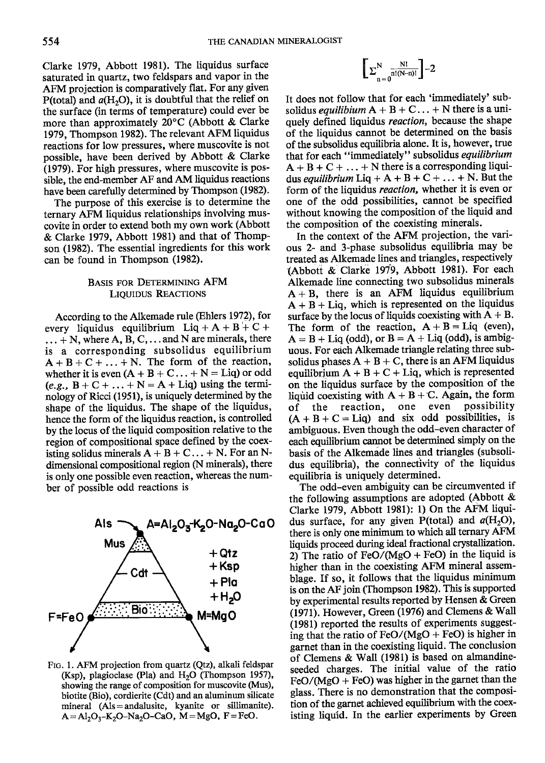Clarke 1979, Abbott l98l). The liquidus surface saturated in quartz, two feldspars and vapor in the AFM projection is comparatively flat. For any given P(total) and  $a(H_2O)$ , it is doubtful that the relief on the surface (in terms of temperature) could ever be more than approximately  $20^{\circ}$ C (Abbott & Clarke 1979, Thompson 1982). The relevant AFM liquidus reactions for low pressures, where muscovite is not possible, have been derived by Abbott & Clarke (1979). For high pressures, where muscovite is possible, the end-member AF and AM liquidus reactions have been carefully determined by Thompson (1982).

The purpose of this exercise is to determine the ternary AFM liquidus relationships involving muscovite in order to extend both my own work (Abbott & Clarke 1979, Abbott l98l) and that of Thompson (1982). The essential ingredients for this work can be found in Thompson (1982).

## BASIS FOR DETERMINING AFM LIQUIDUS REACTIONS

According to the Alkemade rule (Ehlers 1972), for every liquidus equilibrium  $Liq + A + B + C +$  $\dots$  + N, where A, B, C,  $\dots$  and N are minerals, there is a corresponding subsolidus equilibrium  $A + B + C + ... + N$ . The form of the reaction, whether it is even  $(A + B + C... + N = Liq)$  or odd (e.g.,  $B + C + ... + N = A + Liq$ ) using the terminology of Ricci (1951), is uniquely determined by the shape of the liquidus. The shape of the liquidus, hence the form of the liquidus reaction, is controlled by the locus of the liquid composition relative to the region of compositional space defined by the coexisting solidus minerals  $A + B + C \ldots + N$ . For an Ndimensional compositional region (N minerals), there is only one possible even reaction, whereas the number of possible odd reactions is



Fro. l. AFM projection from quartz (Qtz), alkali feldspar (Ksp), plagioclase (Pla) and  $H_2O$  (Thompson 1957), showing the range of composition for muscovite (Mus), biotite (Bio), cordierite (Cdt) and an aluminum silicate mineral  $(Als = and a lusite, kyanite or sillimanite).$  $A = Al<sub>2</sub>O<sub>3</sub> - K<sub>2</sub>O - Na<sub>2</sub>O - CaO$ ,  $M = MgO$ ,  $F = FeO$ .

$$
\left[\Sigma_{n=0}^N\tfrac{N!}{n!(N-n)!}\right]\!-\!2
$$

It does not follow that for each 'immediately' subsolidus equilibium  $A + B + C \ldots + N$  there is a uniquely defined liquidus reaction, because the shape of the liquidus cannot be determined on the basis of the subsolidus equilibria alone. It is, however, true that for each "immediately" subsolidus equilibrium  $A + B + C + ... + N$  there is a corresponding liquidus *equilibrium* Liq + A + B + C + ... + N. But the form of the liquidus *reaction*, whether it is even or one of the odd possibilities, cannot be specified without knowing the composition of the liquid and the composition of the coexisting minerals.

In the context of the AFM projection, the various 2- and 3-phase subsolidus equilibria may be treated as Alkemade lines and triangles, respectively (Abbott & Clarke 1979, Abbott 1981). For each Alkemade line connecting two subsolidus minerals  $A + B$ , there is an AFM liquidus equilibrium  $A + B + Liq$ , which is represented on the liquidus surface by the locus of liquids coexisting with  $A + B$ . The form of the reaction,  $A + B = Liq$  (even),  $A = B + Liq$  (odd), or  $B = A + Liq$  (odd), is ambiguous. For edch Alkemade triangle relating three subsolidus phases  $A + B + C$ , there is an AFM liquidus equilibrium  $A + B + C + Liq$ , which is represented on the liquidus surface by the composition of the liquid coexisting with  $A + B + C$ . Again, the form<br>of the reaction, one even possibility of the reaction, one even  $(A + B + C = \text{Liq})$  and six odd possibilities, is ambiguous. Even though the odd-even character of each equilibrium cannot be determined simply on the basis of the Alkemade lines and triangles (subsolidus equilibria), the connectivity of the liquidus equilibria is uniquely determined.

The odd-even ambiguity can be circumvented if the following assumptions are adopted (Abbott & Clarke 1979, Abbott 1981): l) On the AFM liquidus surface, for any given P(total) and  $a(H_2O)$ , there is only one minimum to which all ternary AFM liquids proceed during ideal fractional crystallization. 2) The ratio of  $FeO/(MgO + FeO)$  in the liquid is higher than in the coexisting AFM mineral assemblage. If so, it follows that the liquidus minimum is on the AF join (Ihompson 1982). This is supported by experimental results reported by Hensen & Green  $(1971)$ . However, Green (1976) and Clemens & Wall (1981) reported the results of experiments suggesting that the ratio of  $FeO/(MgO + FeO)$  is higher in garnet than in the coexisting liquid. The conclusion of Clemens & Wall (1981) is based on almandineseeded charges. The initial value of the ratio FeO/MgO + FeO) was higher in the garnet than the glass. There is no demonstration that the composition of the garnet achieved equilibrium with the coexisting liquid. In the earlier experiments by Green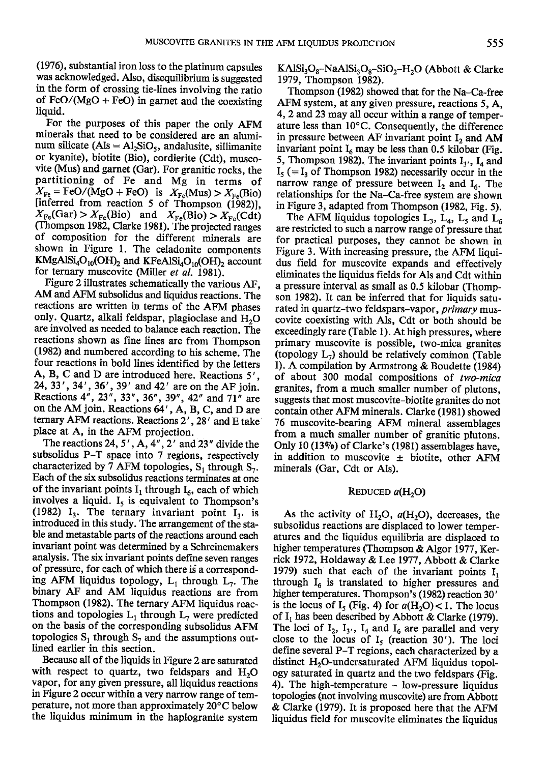(1976), substantial iron loss to the platinum capsules was acknowledged. Also, disequilibrium is suggested in the form of crossing tie-lines involving the ratio of  $FeO/(MgO + FeO)$  in garnet and the coexisting liquid.

For the purposes of this paper the only AFM minerals that need to be considered are an aluminum silicate (Als =  $Al<sub>2</sub>SiO<sub>5</sub>$ , andalusite, sillimanite or kyanite), biotite @io), cordierite (Cdt), muscovite (Mus) and garnet (Gar). For granitic rocks, the partitioning of Fe and Mg in terms of  $X_{\text{Fe}} = \text{FeO}/(\text{MgO} + \text{FeO})$  is  $X_{\text{Fe}}(\text{Mus}) > X_{\text{Fe}}(\text{Bio})$ [inferred from reaction 5 of Thompson (1982)],  $X_{\text{Fe}}(\text{Gar}) > X_{\text{Fe}}(\text{Bio})$  and  $X_{\text{Fe}}(\text{Bio}) > X_{\text{Fe}}(\text{Cat})$ (Thompson 1982, Clarke 1981). The projected ranges of composition for the different minerals are shown in Figure 1. The celadonite components  $KMgAISi<sub>4</sub>O<sub>10</sub>(OH)<sub>2</sub>$  and  $KFeAISi<sub>4</sub>O<sub>10</sub>(OH)<sub>2</sub>$  account for ternary muscovite (Miller et al. 1981).

Figure 2 illustrates schematically the various AF, AM and AFM subsolidus and liquidus reactions. The reactions are written in terms of the AFM phases only. Quartz, alkali feldspar, plagioclase and H<sub>2</sub>O are involved as needed to balance each reaction. The reactions shown as fine lines are from Thompson (1982) and numbered according to his scheme. The four reactions in bold lines identified by the letters A, B, C and D are introduced here. Reactions 5', 24, 33' , 34' , 36' , 39' and 42' are on the AF join. Reactions 4", 23", 33", 36", 39", 42" and  $71$ " are on the AM join. Reactions 64', A, B, C, and D are ternary AFM reactions. Reactions  $2'$ ,  $28'$  and E take place at A, in the AFM projection.

The reactions 24, 5', A,  $4''$ , 2' and  $23''$  divide the subsolidus P-T space into 7 regions, respectively characterized by 7 AFM topologies,  $S_1$  through  $S_7$ . Each of the six subsolidus reactions terminates at one of the invariant points  $I_1$  through  $I_6$ , each of which involves a liquid.  $I_5$  is equivalent to Thompson's (1982)  $I_3$ . The ternary invariant point  $I_3$ , is introduced in this study. The arrangement of the stable and metastable parts of the reactions around each invariant point was determined by a Schreinemakers analysis. The six invariant points define seven ranges of pressure, for each of which there is a corresponding AFM liquidus topology,  $L_1$  through  $L_7$ . The binary AF and AM liquidus reactions are from Thompson (1982). The ternary AFM liquidus reactions and topologies  $L_1$  through  $L_7$  were predicted on the basis of the corresponding subsolidus AFM topologies  $S_1$  through  $S_7$  and the assumptions outlined earlier in this section.

Because all of the Iiquids in Figure 2 are saturated with respect to quartz, two feldspars and  $H<sub>2</sub>O$ vapor, for any given pressure, all liquidus reactions in Figure 2 occur within a very narrow range of temperature, not more than approximately 20°C below the liquidus minimum in the haplogranite system  $KAISi<sub>3</sub>O<sub>8</sub>–NaAISi<sub>3</sub>O<sub>8</sub>–SiO<sub>2</sub>–H<sub>2</sub>O (Abbott & Clarke)$ 1979, Thompson 1982).

Thompson (1982) showed that for the Na-Ca-free AFM system, at any given pressure, reactions 5, A, 4, 2 and 23 may all occur within a range of temperature less than  $10^{\circ}$ C. Consequently, the difference in pressure between AF invariant point  $I_2$  and AM invariant point  $I_6$  may be less than 0.5 kilobar (Fig. 5, Thompson 1982). The invariant points  $I_3$ ,  $I_4$  and  $I_5$  (= $I_3$  of Thompson 1982) necessarily occur in the narrow range of pressure between  $I_2$  and  $I_6$ . The relationships for the Na-Ca-free system are shown in Figure 3, adapted from Thompson (1982, Fig. 5).

The AFM liquidus topologies  $L_3$ ,  $L_4$ ,  $L_5$  and  $L_6$ are restricted to such a narrow range of pressure that for practical purposes, they cannot be shown in Figure 3. With increasing pressure, the AFM liquidus field for muscovite expands and effectively eliminates the liquidus fields for AIs and Cdt within a pressure interval as small as 0.5 kilobar (Thompson 1982). It can be inferred that for liquids saturated in quartz-two feldspars-vapor, *primary* muscovite coexisting with Als, Cdt or both should be exceedingly rare (Table l). At high pressures, where primary muscovite is possible, two-mica granites (topology  $L_7$ ) should be relatively common (Table I). A compilation by Armstrong & Boudette (1984) of about 300 modal compositions of two-mica granites, from a much smaller number of plutons, suggests that most muscovite-biotite ganites do not contain other AFM minerals. Clarke (1981) showed 76 muscovite-bearing AFM mineral assemblages from a much smaller number of granitic plutons. Only 10 (1390) of Clarke's (1981) assemblages have, in addition to muscovite  $\pm$  biotite, other AFM minerals (Gar, Cdt or Als).

## REDUCED  $a(H, O)$

As the activity of  $H_2O$ ,  $a(H_2O)$ , decreases, the subsolidus reactions are displaced to lower temperatures and the liquidus equilibria are displaced to higher temperatures (Thompson & Algor 1977, Kerrick 1972, Holdaway &Lee 1977, Abbott & Clarke 1979) such that each of the invariant points  $I_1$ through  $I_6$  is translated to higher pressures and higher temperatures. Thompson's (1982) reaction 30' is the locus of I, (Fig. 4) for  $a(H_2O)$  < 1. The locus of I, has been described by Abbott & Clarke (1979). The loci of  $I_2$ ,  $I_3$ ,  $I_4$  and  $I_6$  are parallel and very close to the locus of  $I<sub>5</sub>$  (reaction 30'). The loci define several P-T regions, each characterized by a distinct H<sub>2</sub>O-undersaturated AFM liquidus topology saturated in quartz and the two feldspars (Fig. 4). The high-temperature - low-pressure liquidus topologies (not involving muscovite) are from Abbott  $\&$  Clarke (1979). It is proposed here that the AFM liquidus field for muscovite eliminates the liquidus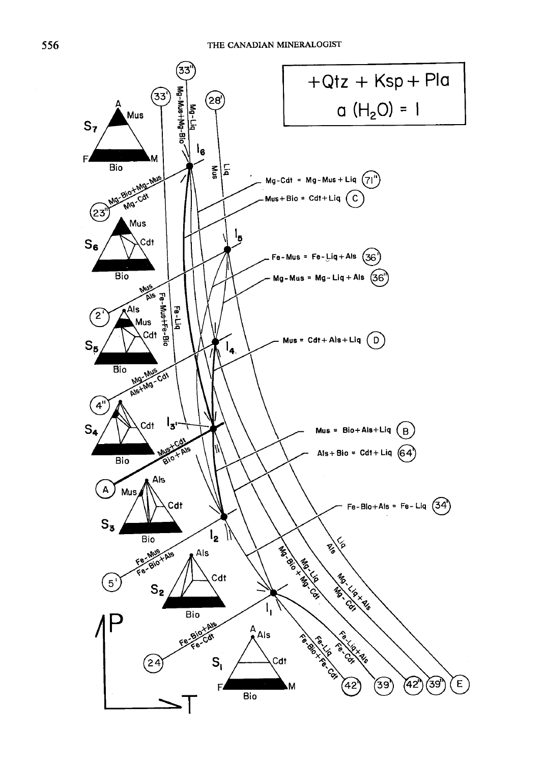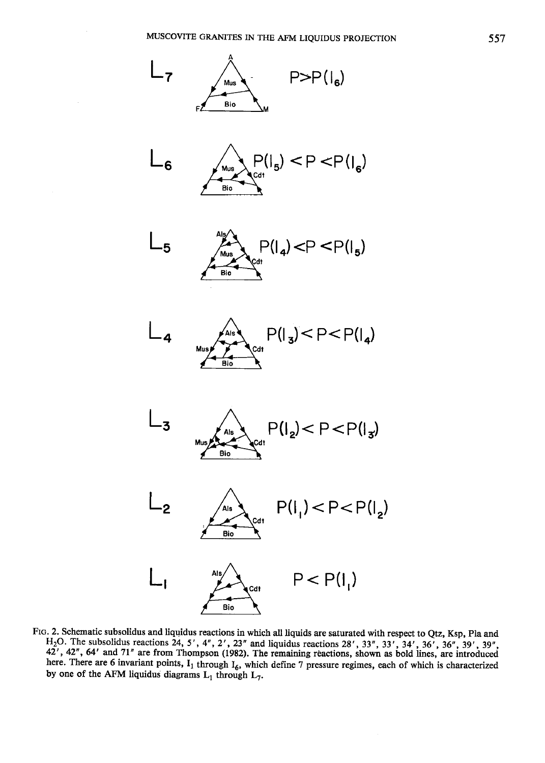

Ftc. 2. Schematic subsolidus and liqqidus reactions in which all liquids are saturated with respect to Qtz, Ksp, Pla and H<sub>2</sub>O. The subsolidus reactions 24, 5', 4", 2', 23" and liquidus reactions 28', 33", 33", 34', 36<sup>7</sup>, 36', 39', 39", 39", 42", 42", 64' and 71" are from Thompson (1982). The remaining reactions, shown as bold lines, are i here. There are 6 invariant points,  $I_1$  through  $I_6$ , which define 7 pressure regimes, each of which is characterized by one of the AFM liquidus diagrams  $L_1$  through  $L_7$ .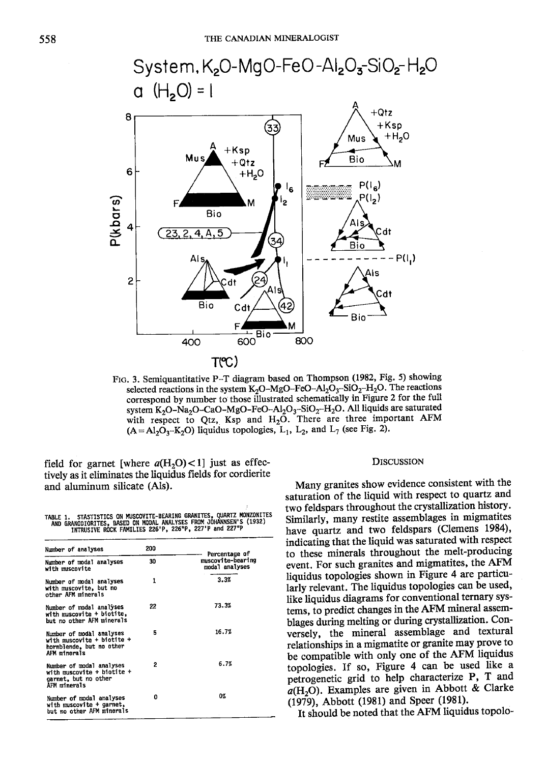

FIG. 3. Semiquantitative P-T diagram based on Thompson (1982, Fig. 5) showing selected reactions in the system  $K_2O-MgO-FeO-Al_2O_3-SiO_2-H_2O$ . The reactions correspond by number to those illustrated schematically in Figure 2 for the full system K<sub>2</sub>O-Na<sub>2</sub>O-CaO-MgO-FeO-Al<sub>2</sub>O<sub>3</sub>-SiO<sub>2</sub>-H<sub>2</sub>O. All liquids are saturated with respect to Qtz, Ksp and H<sub>2</sub>O. There are three important AFM  $(A = Al_2O_3-K_2O)$  liquidus topologies,  $L_1$ ,  $L_2$ , and  $L_7$  (see Fig. 2).

field for garnet [where  $a(H, O) < 1$ ] just as effectively as it eliminates the liquidus fields for cordierite and aluminum silicate (Als).

IBLE 1. STASTISTICS ON MUSCOVITE-BEARING GRANITES, QUARTZ MONZONITES<br>AND GRANODIORITES, BASED ON MODAL ANALYSES FROM JOHANNSEN'S (1932)<br>INTRUSIVE ROCK FAMILIES 226'P, 226"P, 227'P and 227"P TABLE 1

| Number of analyses                                                                                 | 200 | Percentage of<br>muscovite-bearing<br>modal analyses |
|----------------------------------------------------------------------------------------------------|-----|------------------------------------------------------|
| Number of modal analyses<br>with muscovite                                                         | 30  |                                                      |
| Number of modal analyses<br>with muscovite, but no<br>other AFM minerals                           | 1   | 3.3%                                                 |
| Number of modal analyses<br>with muscovite + biotite.<br>but no other AFM minerals                 | 22  | 73.3%                                                |
| Number of modal analyses<br>with muscovite + biotite +<br>hornblende, but no other<br>AFM minerals | 5   | 16.7%                                                |
| Number of modal analyses<br>with muscovite + biotite +<br>garnet, but no other<br>AFM minerals     | 2   | 6.7%                                                 |
| Number of modal analyses<br>with muscovite + garnet,<br>but no other AFM minerals                  | 0   | 0%                                                   |

#### **DISCUSSION**

Many granites show evidence consistent with the saturation of the liquid with respect to quartz and two feldspars throughout the crystallization history. Similarly, many restite assemblages in migmatites have quartz and two feldspars (Clemens 1984), indicating that the liquid was saturated with respect to these minerals throughout the melt-producing event. For such granites and migmatites, the AFM liquidus topologies shown in Figure 4 are particularly relevant. The liquidus topologies can be used, like liquidus diagrams for conventional ternary systems, to predict changes in the AFM mineral assemblages during melting or during crystallization. Conversely, the mineral assemblage and textural relationships in a migmatite or granite may prove to be compatible with only one of the AFM liquidus topologies. If so, Figure 4 can be used like a petrogenetic grid to help characterize P, T and  $a(H<sub>2</sub>O)$ . Examples are given in Abbott & Clarke (1979), Abbott (1981) and Speer (1981).

It should be noted that the AFM liquidus topolo-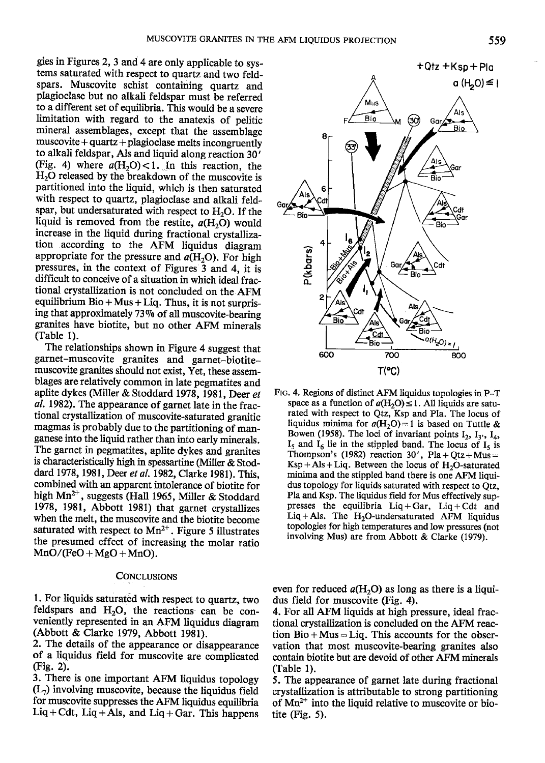gies in Figures 2, 3 and 4 are only applicable to systems saturated with respect to quartz and two feldspars. Muscovite schist containing quartz and plagioclase but no alkali feldspar must be referred to a different set of equilibria. This would be a severe Iimitation with regard to the anatexis of pelitic mineral assemblages, except that the assemblage  $muscovite + quartz + plagioclase$  melts incongruently to alkali feldspar, Als and liquid along reaction 30' (Fig. 4) where  $a(H<sub>2</sub>O)<1$ . In this reaction, the  $H<sub>2</sub>O$  released by the breakdown of the muscovite is partitioned into the liquid, which is then saturated with respect to quartz, plagioclase and alkali feldspar, but undersaturated with respect to  $H_2O$ . If the liquid is removed from the restite,  $a(H_2O)$  would increase in the liquid during fractional crystallization ,according to the AFM liquidus diagram appropriate for the pressure and  $a(H_2O)$ . For high pressures, in the context of Figures 3 and 4, it is difficult to conceive of a situation in which ideal fractional crystallization is not concluded on the AFM equilibrium  $Bio + Mus + Lig$ . Thus, it is not surprising that approximately 73% of all muscovite-bearing granites have biotite, but no other AFM minerals (Table 1).

The relationships shown in Figure 4 suggest that garnet-muscovite granites and garnet-biotitemuscovite granites should not exist, Yet, these assemblages are relatively common in late pegmatites and aplite dykes (Miller & Stoddard 1978, 1981, Deer et al. 1982). The appearance of garnet late in the fractional crystallization of muscovite-saturated granitic magmas is probably due to the partitioning of manganese into the liquid rather than into early minerals. The garnet in pegmatites, aplite dykes and granites is characteristicaly hieh in spessartine (Miller & Stoddard 1978, 1981, Deer et al. 1982, Clarke 1981). This, combined with an apparent intolerance of biotite for high Mn<sup>2+</sup>, suggests (Hall 1965, Miller & Stoddard 1978, 1981, Abbott l98l) that garnet crystallizes when the melt, the muscovite and the biotite become saturated with respect to  $Mn^{2+}$ . Figure 5 illustrates the presumed effect of increasing the molar ratio  $MnO/(FeO+MgO+MnO)$ .

#### CONCLUSIONS

l. For liquids saturated with respect to quartz, two feldspars and  $H_2O$ , the reactions can be conveniently represented in an AFM liquidus diagram (Abbott & Clarke 1979, Abbott 1981).

2. The details of the appearance or disappeaxance of a liquidus field for muscovite are complicated  $(Fig. 2)$ .

3. There is one important AFM liquidus topology  $(L_7)$  involving muscovite, because the liquidus field for muscovite suppresses the AFM liquidus equilibria  $Liq + Cdt$ ,  $Liq + Als$ , and  $Liq + Gar$ . This happens



Ftc. 4. Regions of distinct AFM liquidus topologies in P-T space as a function of  $a(H_2O) \le 1$ . All liquids are saturated with respect to Qtz, Ksp and Pla. The locus of liquidus minima for  $a(H_2O)=1$  is based on Tuttle & Bowen (1958). The loci of invariant points  $I_2$ ,  $I_3$ ,  $I_4$ ,  $I_5$  and  $I_6$  lie in the stippled band. The locus of  $I_5$  is Thompson's (1982) reaction 30',  $Pla + Qtz+Mus =$  $Ksp+Als+Liq.$  Between the locus of  $H_2O$ -saturated minima and the stippled band there is one AFM liquidus topology for liquids saturated with respect to Otz, Pla and Ksp. The liquidus field for Mus effectively suppresses the equilibria  $Liq + Gar$ ,  $Liq + Cdt$  and Liq + Als. The  $H_2O$ -undersaturated AFM liquidus topologies for high temperatures and low pressures (not involving Mus) are from Abbott & Clarke (1979).

even for reduced  $a(H<sub>2</sub>O)$  as long as there is a liquidus field for muscovite (Fig. 4).

4. For all AFM liquids at high pressure, ideal fractional crystallization is concluded on the AFM reaction  $Bio + Mus = Lig$ . This accounts for the observation that most muscovite-bearing granites also contain biotite but are devoid of other AFM minerais (Table l).

5. The appearance of garnet late during fractional crystallization is attributable to strong partitioning of Mn2+ into the liquid relative to muscovite or biotite (Fig. 5).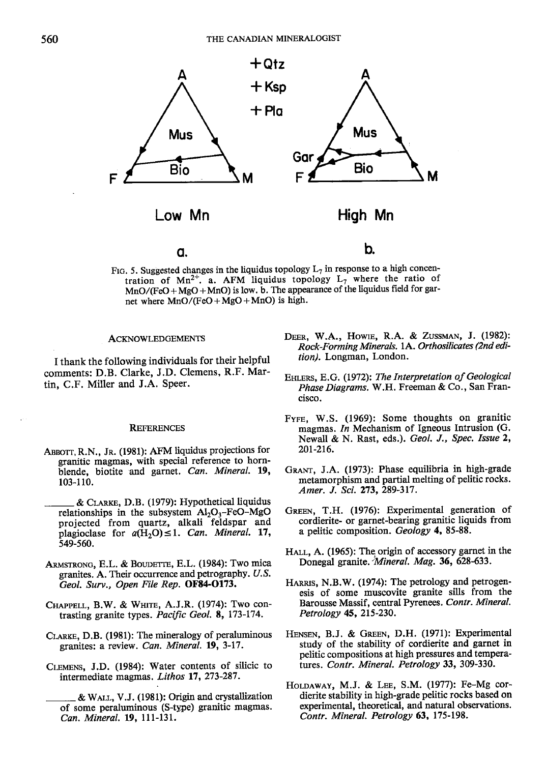

FIG. 5. Suggested changes in the liquidus topology  $L_7$  in response to a high concentration of  $Mn^{2+}$ . a. AFM liquidus topology  $L_7$  where the ratio of  $MnO/(FeO + MgO + MnO)$  is low. b. The appearance of the liquidus field for garnet where  $MnO/(FeO+MgO+MnO)$  is high.

### ACKNOWLEDGEMENTS

I thank the following individuals for their helpful comments: D.B. Clarke, J.D. Clemens, R.F. Martin, C.F. Miller and J.A. Speer.

## **REFERENCES**

- ABBOTT, R.N., Jr. (1981): AFM liquidus projections for granitic magmas, with special reference to hornblende, biotite and garnet. Can. Mineral. 19, 103-l 10.
- & CLARKE, D.B. (1979): Hypothetical liquidus relationships in the subsystem  $Al_2O_3$ -FeO-MgO projected from quartz, alkali feldspar and plagioclase for  $a(H_2O) \leq 1$ . Can. Mineral. 17, 549-560.
- ARMSTRONG, E.L. & BOUDETTE, E.L. (1984): Two mica granites. A. Their occurrence and petrography. U.5. Geol. Surv,, Open File Rep. OF84-O173.
- CHAPPELL, B.W. & WHITE, A.J.R. (1974): Two contrasting granite types. Pacific Geol. 8, 173-174.
- CLARKE, D.B. (1981): The mineralogy of peraluminous granites: a review. Can. Mineral. 19, 3-17.
- CLEMENS, J.D. (1984): Water contents of silicic to intermediate magmas. Lithos 17, 273-287.
	- & WALL, V.J. (1981): Origin and crystallization of some peraluminous (S-type) granitic magmas. Can. Mineral, 19, 111-131.
- DEER, W.A., HOWIE, R.A. & ZUSSMAN, J. (1982): Rock-Forming Minerals. lA. Orthosilicates (2nd edition). Longman, London.
- EHLERS, E.G. (1972): The Interpretation of Geological Phase Diagrams. W.H. Freeman & Co., San Francisco.
- FYFE, W.S. (1969): Some thoughts on granitic magmas. In Mechanism of Igneous Intrusion (G. Newall & N. Rast, eds.). Geol. J., Spec. Issue 2, 201-2t6.
- GRANT, J.A. (1973): Phase equilibria in high-grade metamorphism and partial melting of pelitic rocks. Amer. J. Sci. 273, 289-317.
- GREEN, T.H. (1976): Experimental generation of cordierite- or garnet-bearing granitic liquids from a pelitic composition. Geology 4, 85-88.
- HALL, A. (1965): The origin of accessory garnet in the Donegal granite. Mineral. Mag. 36, 628-633.
- HARRIS, N.B.W. (1974): The petrology and petrogenesis of some muscovite granite sills from the Barousse Massif, central Pyrenees. Contr. Mineral. Petrology 45, 215-230.
- HENSEN, B.J. & GREEN, D.H. (1971): Experimental study of the stability of cordierite and garnet in pelitic compositions at high pressures and temperatures. Contr. Mineral. Petrology 33, 309-330.
- HOLDAWAY, M.J. & LEE, S.M. (1977): Fe-Mg cordierite stability in high-grade pelitic rocks based on experimental, theoretical, and natural observations. Contr. Mineral. Petrology 63, 175-198.